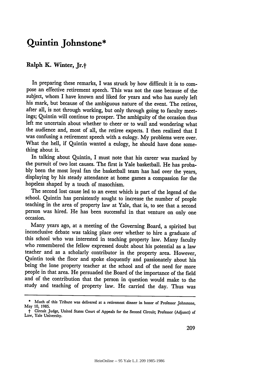## **Quintin Johnstone\***

## **Ralph K. Winter, Jr.t**

In preparing these remarks, I was struck **by** how difficult it is to compose an effective retirement speech. This was not the case because of the subject, whom I have known and liked for years and who has surely left his mark, but because of the ambiguous nature of the event. The retiree, after all, is not through working, but only through going to faculty meetings; Quintin will continue to prosper. The ambiguity of the occasion thus left me uncertain about whether to cheer or to wail and wondering what the audience and, most of all, the retiree expects. I then realized that I was confusing a retirement speech with a eulogy. **My** problems were over. What the hell, if Quintin wanted a eulogy, he should have done something about it.

In talking about Quintin, I must note that his career was marked **by** the pursuit of two lost causes. The first is Yale basketball. He has proba **bly** been the most loyal fan the basketball team has had over the years, displaying by his steady attendance at home games a compassion for the hopeless shaped **by** a touch of masochism.

The second lost cause led to an event which is part of the legend of the school. Quintin has persistently sought to increase the number of people teaching in the area of property law at Yale, that is, to see that a second person was hired. He has been successful in that venture on only one occasion.

Many years ago, at a meeting of the Governing Board, a spirited but inconclusive debate was taking place over whether to hire a graduate of this school who was interested in teaching property law. Many faculty who remembered the fellow expressed doubt about his potential as a law teacher and as a scholarly contributor in the property area. However, Quintin took the floor and spoke eloquently and passionately about his being the lone property teacher at the school and of the need for more people in that area. He persuaded the Board of the importance of the field and of the contribution that the person in question would make to the study and teaching of property law. He carried the day. Thus was

**<sup>\*</sup>** Much of this Tribute was delivered at a retirement dinner in honor of Professor Johnstone, **May 10, 1985.**

t Circuit Judge, United States Court of Appeals for the Second Circuit; Professor (Adjunct) of Law, Yale University.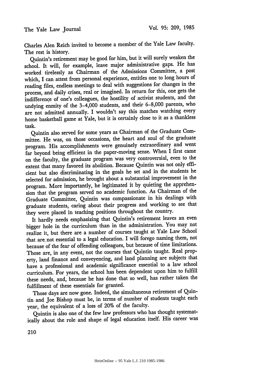Charles Alen Reich invited to become a member of the Yale Law faculty. The rest is history.

Quintin's retirement may be good for him, but it will surely weaken the school. It will, for example, leave major administrative gaps. He has worked tirelessly as Chairman of the Admissions Committee, a post which, I can attest from personal experience, entitles one to long hours of reading files, endless meetings to deal with suggestions for changes in the process, and daily crises, real or imagined. In return for this, one gets the indifference of one's colleagues, the hostility of activist students, and the undying enmity of the 3-4,000 students, and their 6-8,000 parents, who are not admitted annually. I wouldn't say this matches watching every home basketball game at Yale, but it is certainly close to it as a thankless task.

Quintin also served for some years as Chairman of the Graduate Committee. He was, on those occasions, the heart and soul of the graduate program. His accomplishments were genuinely extraordinary and went far beyond being efficient in the paper-moving sense. When I first came on the faculty, the graduate program was very controversial, even to the extent that many favored its abolition. Because Quintin was not only efficient but also discriminating in the goals he set and in the students he selected for admission, he brought about a substantial improvement in the program. More importantly, he legitimated it by quieting the apprehension that the program served no academic function. As Chairman of the Graduate Committee, Quintin was compassionate in his dealings with graduate students, caring about their progress and working to see that they were placed in teaching positions throughout the country.

It hardly needs emphasizing that Quintin's retirement leaves an even bigger hole in the curriculum than in the administration. You may not realize it, but there are a number of courses taught at Yale Law School that are. not essential to a legal education. I will forego naming them, not because of the fear of offending colleagues, but because of time limitations. Those are, in any event, not the courses that Quintin taught. Real property, land finance and conveyencing, and land planning are subjects that have a professional and academic significance essential to a law school curriculum. For years, the school has been dependent upon him to fulfill these needs, and, because he has done that so well, has rather taken the fulfillment of these essentials for granted.

Those days are now gone. Indeed, the simultaneous retirement of Quintin and Joe Bishop must be, in terms of number of students taught each year, the equivalent of a loss of 20% of the faculty.

Quintin is also one of the few law professors who has thought systematically about the role and shape of legal education itself. His career was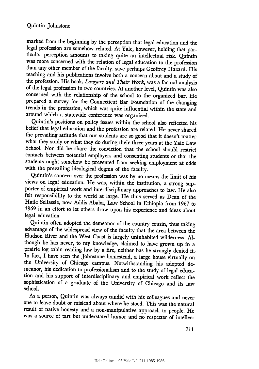marked from the beginning by the perception that legal education and the legal profession are somehow related. At Yale, however, holding that particular perception amounts to taking quite an intellectual risk. Quintin<br>was more concerned with the relation of legal education to the profession than any other member of the faculty, save perhaps Geoffrey Hazard. His teaching and his publications involve both a concern about and a study of the profession. His book, *Lawyers and Their Work,* was a factual analysis of the legal profession in two countries. At another level, Quintin was also concerned with the relationship of the school to the organized bar. He prepared a survey for the Connecticut Bar Foundation of the changing trends in the profession, which was quite influential within the state and around which a statewide conference was organized.

Quintin's positions on policy issues within the school also reflected his belief that legal education and the profession are related. He never shared the prevailing attitude that our students are so good that it doesn't matter what they study or what they do during their three years at the Yale Law School. Nor did he share the conviction that the school should restrict contacts between potential employers and consenting students or that the students ought somehow be prevented from seeking employment at odds with the prevailing ideological dogma of the faculty.

Quintin's concern over the profession was by no means the limit of his views on legal education. He was, within the institution, a strong supporter of empirical work and interdisciplinary approaches to law. He also felt responsibility to the world at large. He thus served as Dean of the Haile Sellassie, now Addis Ababa, Law School in Ethiopia from 1967 to 1969 in an effort to let others draw upon his experience and ideas about legal education.

Quintin often adopted the demeanor of the country cousin, thus taking advantage of the widespread view of the faculty that the area between the Hudson River and the West Coast is largely uninhabited wilderness. Although he has never, to my knowledge, claimed to have grown up in a prairie log cabin reading law by a fire, neither has he strongly denied it. In fact, I have seen the Johnstone homestead, a large house virtually on the University of Chicago campus. Notwithstanding his adopted demeanor, his dedication to professionalism and to the study of legal education and his support of interdisciplinary and empirical work reflect the sophistication of a graduate of the University of Chicago and its law school.

As a person, Quintin was always candid with his colleagues and never one to leave doubt or mislead about where he stood. This was the natural result of native honesty and a non-manipulative approach to people. He was a source of tart but understated humor and no respecter of intellec